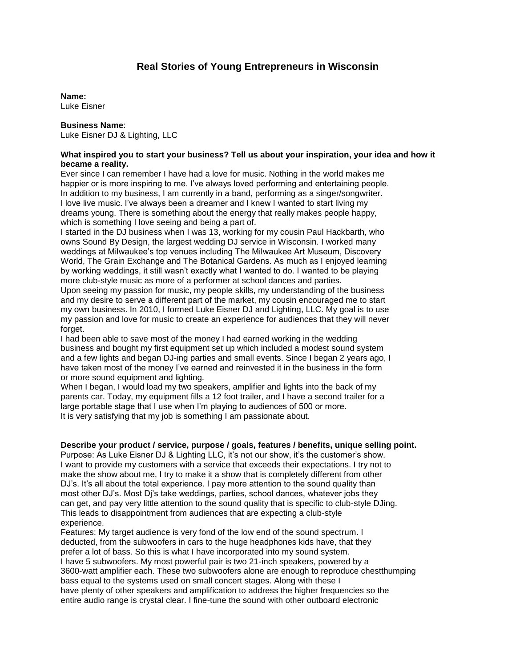# **Real Stories of Young Entrepreneurs in Wisconsin**

#### **Name:**

Luke Eisner

# **Business Name**:

Luke Eisner DJ & Lighting, LLC

## **What inspired you to start your business? Tell us about your inspiration, your idea and how it became a reality.**

Ever since I can remember I have had a love for music. Nothing in the world makes me happier or is more inspiring to me. I've always loved performing and entertaining people. In addition to my business, I am currently in a band, performing as a singer/songwriter. I love live music. I've always been a dreamer and I knew I wanted to start living my dreams young. There is something about the energy that really makes people happy, which is something I love seeing and being a part of.

I started in the DJ business when I was 13, working for my cousin Paul Hackbarth, who owns Sound By Design, the largest wedding DJ service in Wisconsin. I worked many weddings at Milwaukee's top venues including The Milwaukee Art Museum, Discovery World, The Grain Exchange and The Botanical Gardens. As much as I enjoyed learning by working weddings, it still wasn't exactly what I wanted to do. I wanted to be playing more club-style music as more of a performer at school dances and parties. Upon seeing my passion for music, my people skills, my understanding of the business

and my desire to serve a different part of the market, my cousin encouraged me to start my own business. In 2010, I formed Luke Eisner DJ and Lighting, LLC. My goal is to use my passion and love for music to create an experience for audiences that they will never forget.

I had been able to save most of the money I had earned working in the wedding business and bought my first equipment set up which included a modest sound system and a few lights and began DJ-ing parties and small events. Since I began 2 years ago, I have taken most of the money I've earned and reinvested it in the business in the form or more sound equipment and lighting.

When I began, I would load my two speakers, amplifier and lights into the back of my parents car. Today, my equipment fills a 12 foot trailer, and I have a second trailer for a large portable stage that I use when I'm playing to audiences of 500 or more. It is very satisfying that my job is something I am passionate about.

## **Describe your product / service, purpose / goals, features / benefits, unique selling point.**

Purpose: As Luke Eisner DJ & Lighting LLC, it's not our show, it's the customer's show. I want to provide my customers with a service that exceeds their expectations. I try not to make the show about me, I try to make it a show that is completely different from other DJ's. It's all about the total experience. I pay more attention to the sound quality than most other DJ's. Most Dj's take weddings, parties, school dances, whatever jobs they can get, and pay very little attention to the sound quality that is specific to club-style DJing. This leads to disappointment from audiences that are expecting a club-style experience.

Features: My target audience is very fond of the low end of the sound spectrum. I deducted, from the subwoofers in cars to the huge headphones kids have, that they prefer a lot of bass. So this is what I have incorporated into my sound system. I have 5 subwoofers. My most powerful pair is two 21-inch speakers, powered by a 3600-watt amplifier each. These two subwoofers alone are enough to reproduce chestthumping bass equal to the systems used on small concert stages. Along with these I have plenty of other speakers and amplification to address the higher frequencies so the entire audio range is crystal clear. I fine-tune the sound with other outboard electronic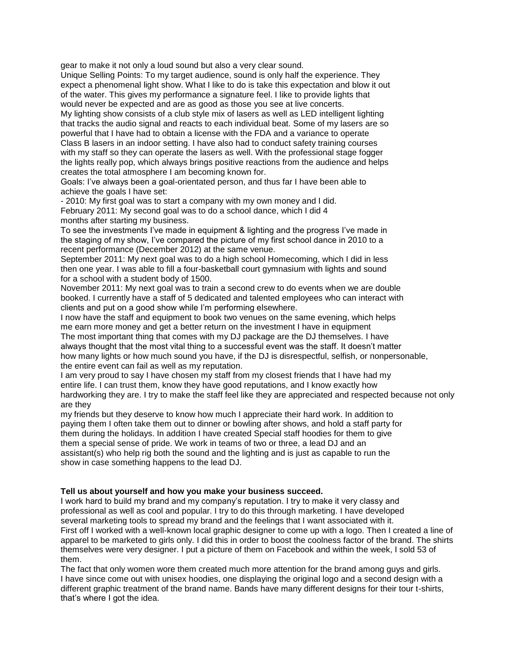gear to make it not only a loud sound but also a very clear sound.

Unique Selling Points: To my target audience, sound is only half the experience. They expect a phenomenal light show. What I like to do is take this expectation and blow it out of the water. This gives my performance a signature feel. I like to provide lights that would never be expected and are as good as those you see at live concerts.

My lighting show consists of a club style mix of lasers as well as LED intelligent lighting that tracks the audio signal and reacts to each individual beat. Some of my lasers are so powerful that I have had to obtain a license with the FDA and a variance to operate Class B lasers in an indoor setting. I have also had to conduct safety training courses with my staff so they can operate the lasers as well. With the professional stage fogger the lights really pop, which always brings positive reactions from the audience and helps creates the total atmosphere I am becoming known for.

Goals: I've always been a goal-orientated person, and thus far I have been able to achieve the goals I have set:

- 2010: My first goal was to start a company with my own money and I did. February 2011: My second goal was to do a school dance, which I did 4 months after starting my business.

To see the investments I've made in equipment & lighting and the progress I've made in the staging of my show, I've compared the picture of my first school dance in 2010 to a recent performance (December 2012) at the same venue.

September 2011: My next goal was to do a high school Homecoming, which I did in less then one year. I was able to fill a four-basketball court gymnasium with lights and sound for a school with a student body of 1500.

November 2011: My next goal was to train a second crew to do events when we are double booked. I currently have a staff of 5 dedicated and talented employees who can interact with clients and put on a good show while I'm performing elsewhere.

I now have the staff and equipment to book two venues on the same evening, which helps me earn more money and get a better return on the investment I have in equipment

The most important thing that comes with my DJ package are the DJ themselves. I have always thought that the most vital thing to a successful event was the staff. It doesn't matter how many lights or how much sound you have, if the DJ is disrespectful, selfish, or nonpersonable, the entire event can fail as well as my reputation.

I am very proud to say I have chosen my staff from my closest friends that I have had my entire life. I can trust them, know they have good reputations, and I know exactly how hardworking they are. I try to make the staff feel like they are appreciated and respected because not only are they

my friends but they deserve to know how much I appreciate their hard work. In addition to paying them I often take them out to dinner or bowling after shows, and hold a staff party for them during the holidays. In addition I have created Special staff hoodies for them to give them a special sense of pride. We work in teams of two or three, a lead DJ and an assistant(s) who help rig both the sound and the lighting and is just as capable to run the show in case something happens to the lead DJ.

## **Tell us about yourself and how you make your business succeed.**

I work hard to build my brand and my company's reputation. I try to make it very classy and professional as well as cool and popular. I try to do this through marketing. I have developed several marketing tools to spread my brand and the feelings that I want associated with it. First off I worked with a well-known local graphic designer to come up with a logo. Then I created a line of apparel to be marketed to girls only. I did this in order to boost the coolness factor of the brand. The shirts themselves were very designer. I put a picture of them on Facebook and within the week, I sold 53 of them.

The fact that only women wore them created much more attention for the brand among guys and girls. I have since come out with unisex hoodies, one displaying the original logo and a second design with a different graphic treatment of the brand name. Bands have many different designs for their tour t-shirts, that's where I got the idea.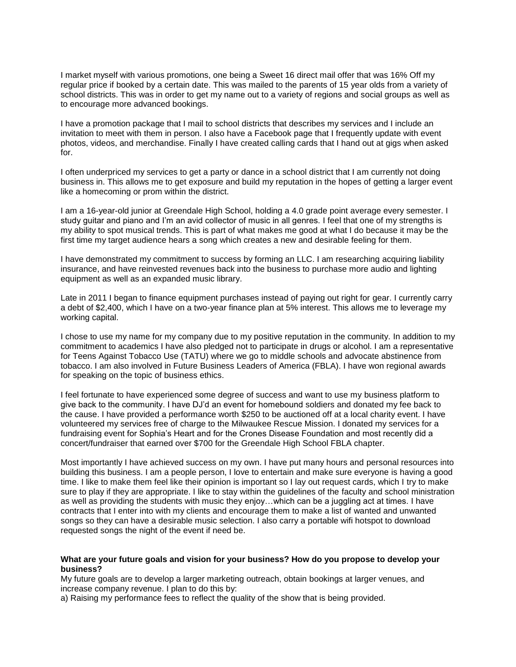I market myself with various promotions, one being a Sweet 16 direct mail offer that was 16% Off my regular price if booked by a certain date. This was mailed to the parents of 15 year olds from a variety of school districts. This was in order to get my name out to a variety of regions and social groups as well as to encourage more advanced bookings.

I have a promotion package that I mail to school districts that describes my services and I include an invitation to meet with them in person. I also have a Facebook page that I frequently update with event photos, videos, and merchandise. Finally I have created calling cards that I hand out at gigs when asked for.

I often underpriced my services to get a party or dance in a school district that I am currently not doing business in. This allows me to get exposure and build my reputation in the hopes of getting a larger event like a homecoming or prom within the district.

I am a 16-year-old junior at Greendale High School, holding a 4.0 grade point average every semester. I study guitar and piano and I'm an avid collector of music in all genres. I feel that one of my strengths is my ability to spot musical trends. This is part of what makes me good at what I do because it may be the first time my target audience hears a song which creates a new and desirable feeling for them.

I have demonstrated my commitment to success by forming an LLC. I am researching acquiring liability insurance, and have reinvested revenues back into the business to purchase more audio and lighting equipment as well as an expanded music library.

Late in 2011 I began to finance equipment purchases instead of paying out right for gear. I currently carry a debt of \$2,400, which I have on a two-year finance plan at 5% interest. This allows me to leverage my working capital.

I chose to use my name for my company due to my positive reputation in the community. In addition to my commitment to academics I have also pledged not to participate in drugs or alcohol. I am a representative for Teens Against Tobacco Use (TATU) where we go to middle schools and advocate abstinence from tobacco. I am also involved in Future Business Leaders of America (FBLA). I have won regional awards for speaking on the topic of business ethics.

I feel fortunate to have experienced some degree of success and want to use my business platform to give back to the community. I have DJ'd an event for homebound soldiers and donated my fee back to the cause. I have provided a performance worth \$250 to be auctioned off at a local charity event. I have volunteered my services free of charge to the Milwaukee Rescue Mission. I donated my services for a fundraising event for Sophia's Heart and for the Crones Disease Foundation and most recently did a concert/fundraiser that earned over \$700 for the Greendale High School FBLA chapter.

Most importantly I have achieved success on my own. I have put many hours and personal resources into building this business. I am a people person, I love to entertain and make sure everyone is having a good time. I like to make them feel like their opinion is important so I lay out request cards, which I try to make sure to play if they are appropriate. I like to stay within the guidelines of the faculty and school ministration as well as providing the students with music they enjoy…which can be a juggling act at times. I have contracts that I enter into with my clients and encourage them to make a list of wanted and unwanted songs so they can have a desirable music selection. I also carry a portable wifi hotspot to download requested songs the night of the event if need be.

#### **What are your future goals and vision for your business? How do you propose to develop your business?**

My future goals are to develop a larger marketing outreach, obtain bookings at larger venues, and increase company revenue. I plan to do this by:

a) Raising my performance fees to reflect the quality of the show that is being provided.